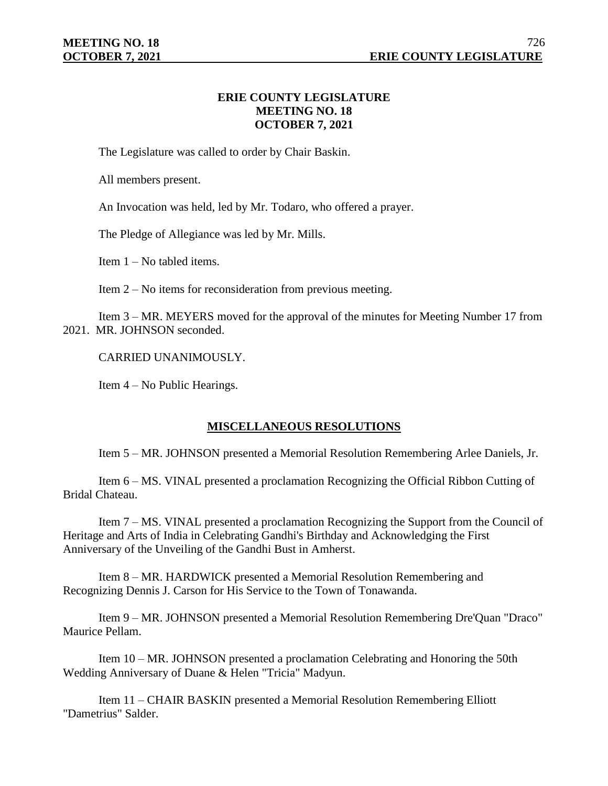## **ERIE COUNTY LEGISLATURE MEETING NO. 18 OCTOBER 7, 2021**

The Legislature was called to order by Chair Baskin.

All members present.

An Invocation was held, led by Mr. Todaro, who offered a prayer.

The Pledge of Allegiance was led by Mr. Mills.

Item 1 – No tabled items.

Item 2 – No items for reconsideration from previous meeting.

Item 3 – MR. MEYERS moved for the approval of the minutes for Meeting Number 17 from 2021. MR. JOHNSON seconded.

CARRIED UNANIMOUSLY.

Item 4 – No Public Hearings.

# **MISCELLANEOUS RESOLUTIONS**

Item 5 – MR. JOHNSON presented a Memorial Resolution Remembering Arlee Daniels, Jr.

Item 6 – MS. VINAL presented a proclamation Recognizing the Official Ribbon Cutting of Bridal Chateau.

Item 7 – MS. VINAL presented a proclamation Recognizing the Support from the Council of Heritage and Arts of India in Celebrating Gandhi's Birthday and Acknowledging the First Anniversary of the Unveiling of the Gandhi Bust in Amherst.

Item 8 – MR. HARDWICK presented a Memorial Resolution Remembering and Recognizing Dennis J. Carson for His Service to the Town of Tonawanda.

Item 9 – MR. JOHNSON presented a Memorial Resolution Remembering Dre'Quan "Draco" Maurice Pellam.

Item 10 – MR. JOHNSON presented a proclamation Celebrating and Honoring the 50th Wedding Anniversary of Duane & Helen "Tricia" Madyun.

Item 11 – CHAIR BASKIN presented a Memorial Resolution Remembering Elliott "Dametrius" Salder.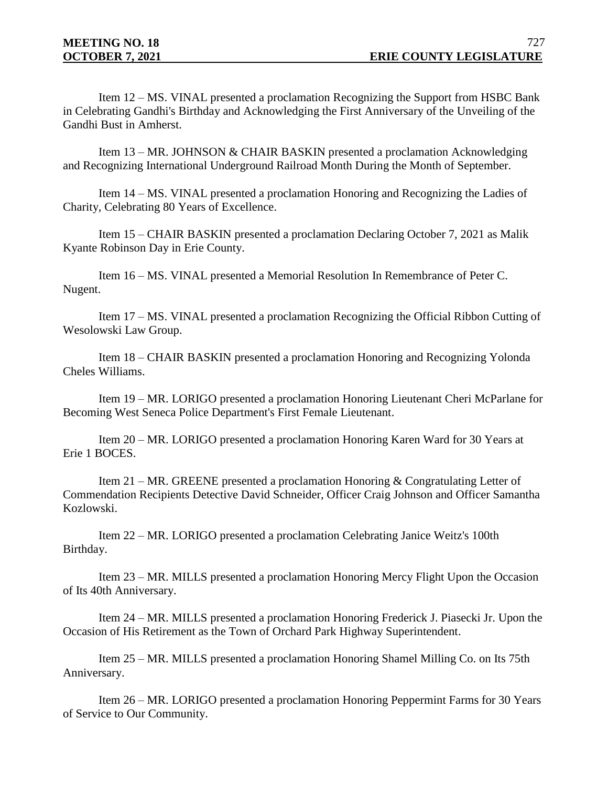Item 12 – MS. VINAL presented a proclamation Recognizing the Support from HSBC Bank in Celebrating Gandhi's Birthday and Acknowledging the First Anniversary of the Unveiling of the Gandhi Bust in Amherst.

Item 13 – MR. JOHNSON & CHAIR BASKIN presented a proclamation Acknowledging and Recognizing International Underground Railroad Month During the Month of September.

Item 14 – MS. VINAL presented a proclamation Honoring and Recognizing the Ladies of Charity, Celebrating 80 Years of Excellence.

Item 15 – CHAIR BASKIN presented a proclamation Declaring October 7, 2021 as Malik Kyante Robinson Day in Erie County.

Item 16 – MS. VINAL presented a Memorial Resolution In Remembrance of Peter C. Nugent.

Item 17 – MS. VINAL presented a proclamation Recognizing the Official Ribbon Cutting of Wesolowski Law Group.

Item 18 – CHAIR BASKIN presented a proclamation Honoring and Recognizing Yolonda Cheles Williams.

Item 19 – MR. LORIGO presented a proclamation Honoring Lieutenant Cheri McParlane for Becoming West Seneca Police Department's First Female Lieutenant.

Item 20 – MR. LORIGO presented a proclamation Honoring Karen Ward for 30 Years at Erie 1 BOCES.

Item 21 – MR. GREENE presented a proclamation Honoring & Congratulating Letter of Commendation Recipients Detective David Schneider, Officer Craig Johnson and Officer Samantha Kozlowski.

Item 22 – MR. LORIGO presented a proclamation Celebrating Janice Weitz's 100th Birthday.

Item 23 – MR. MILLS presented a proclamation Honoring Mercy Flight Upon the Occasion of Its 40th Anniversary.

Item 24 – MR. MILLS presented a proclamation Honoring Frederick J. Piasecki Jr. Upon the Occasion of His Retirement as the Town of Orchard Park Highway Superintendent.

Item 25 – MR. MILLS presented a proclamation Honoring Shamel Milling Co. on Its 75th Anniversary.

Item 26 – MR. LORIGO presented a proclamation Honoring Peppermint Farms for 30 Years of Service to Our Community.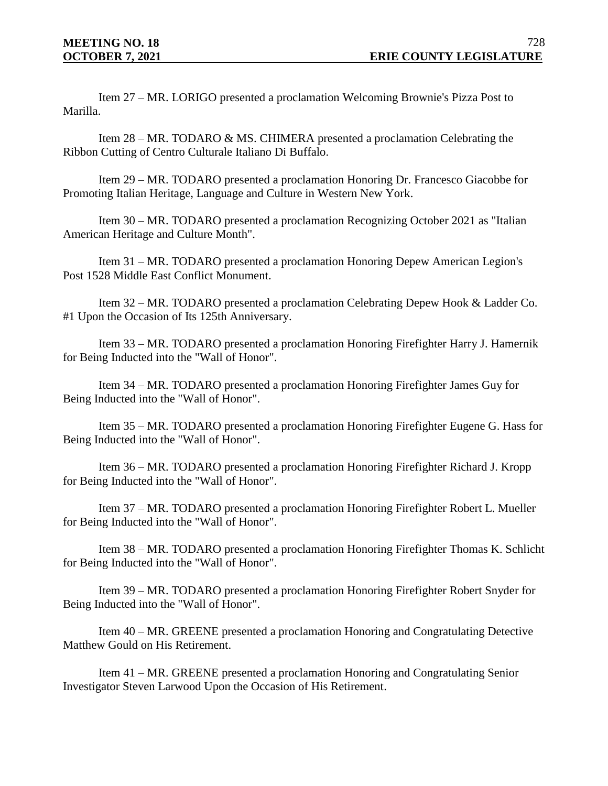Item 27 – MR. LORIGO presented a proclamation Welcoming Brownie's Pizza Post to Marilla.

Item 28 – MR. TODARO & MS. CHIMERA presented a proclamation Celebrating the Ribbon Cutting of Centro Culturale Italiano Di Buffalo.

Item 29 – MR. TODARO presented a proclamation Honoring Dr. Francesco Giacobbe for Promoting Italian Heritage, Language and Culture in Western New York.

Item 30 – MR. TODARO presented a proclamation Recognizing October 2021 as "Italian American Heritage and Culture Month".

Item 31 – MR. TODARO presented a proclamation Honoring Depew American Legion's Post 1528 Middle East Conflict Monument.

Item 32 – MR. TODARO presented a proclamation Celebrating Depew Hook & Ladder Co. #1 Upon the Occasion of Its 125th Anniversary.

Item 33 – MR. TODARO presented a proclamation Honoring Firefighter Harry J. Hamernik for Being Inducted into the "Wall of Honor".

Item 34 – MR. TODARO presented a proclamation Honoring Firefighter James Guy for Being Inducted into the "Wall of Honor".

Item 35 – MR. TODARO presented a proclamation Honoring Firefighter Eugene G. Hass for Being Inducted into the "Wall of Honor".

Item 36 – MR. TODARO presented a proclamation Honoring Firefighter Richard J. Kropp for Being Inducted into the "Wall of Honor".

Item 37 – MR. TODARO presented a proclamation Honoring Firefighter Robert L. Mueller for Being Inducted into the "Wall of Honor".

Item 38 – MR. TODARO presented a proclamation Honoring Firefighter Thomas K. Schlicht for Being Inducted into the "Wall of Honor".

Item 39 – MR. TODARO presented a proclamation Honoring Firefighter Robert Snyder for Being Inducted into the "Wall of Honor".

Item 40 – MR. GREENE presented a proclamation Honoring and Congratulating Detective Matthew Gould on His Retirement.

Item 41 – MR. GREENE presented a proclamation Honoring and Congratulating Senior Investigator Steven Larwood Upon the Occasion of His Retirement.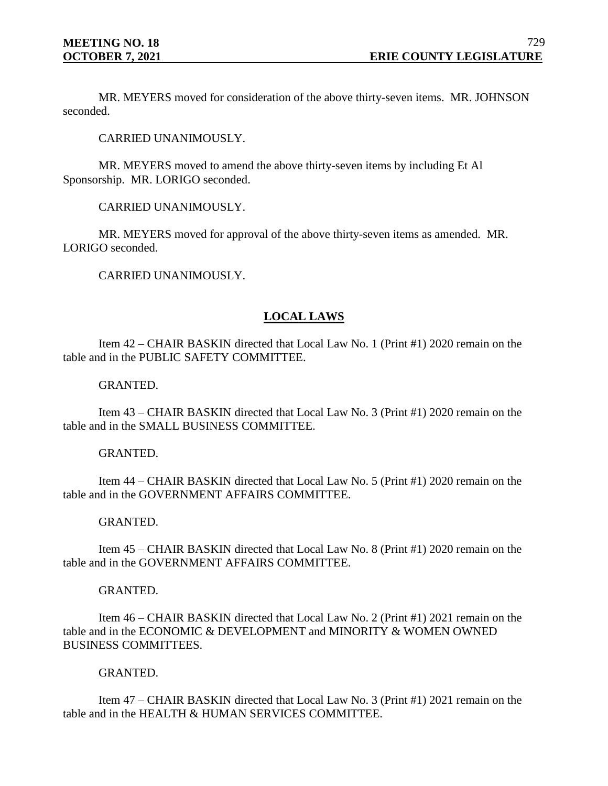MR. MEYERS moved for consideration of the above thirty-seven items. MR. JOHNSON seconded.

CARRIED UNANIMOUSLY.

MR. MEYERS moved to amend the above thirty-seven items by including Et Al Sponsorship. MR. LORIGO seconded.

CARRIED UNANIMOUSLY.

MR. MEYERS moved for approval of the above thirty-seven items as amended. MR. LORIGO seconded.

CARRIED UNANIMOUSLY.

## **LOCAL LAWS**

Item 42 – CHAIR BASKIN directed that Local Law No. 1 (Print #1) 2020 remain on the table and in the PUBLIC SAFETY COMMITTEE.

#### GRANTED.

Item 43 – CHAIR BASKIN directed that Local Law No. 3 (Print #1) 2020 remain on the table and in the SMALL BUSINESS COMMITTEE.

#### GRANTED.

Item 44 – CHAIR BASKIN directed that Local Law No. 5 (Print #1) 2020 remain on the table and in the GOVERNMENT AFFAIRS COMMITTEE.

#### GRANTED.

Item 45 – CHAIR BASKIN directed that Local Law No. 8 (Print #1) 2020 remain on the table and in the GOVERNMENT AFFAIRS COMMITTEE.

#### GRANTED.

Item 46 – CHAIR BASKIN directed that Local Law No. 2 (Print #1) 2021 remain on the table and in the ECONOMIC & DEVELOPMENT and MINORITY & WOMEN OWNED BUSINESS COMMITTEES.

## GRANTED.

Item 47 – CHAIR BASKIN directed that Local Law No. 3 (Print #1) 2021 remain on the table and in the HEALTH & HUMAN SERVICES COMMITTEE.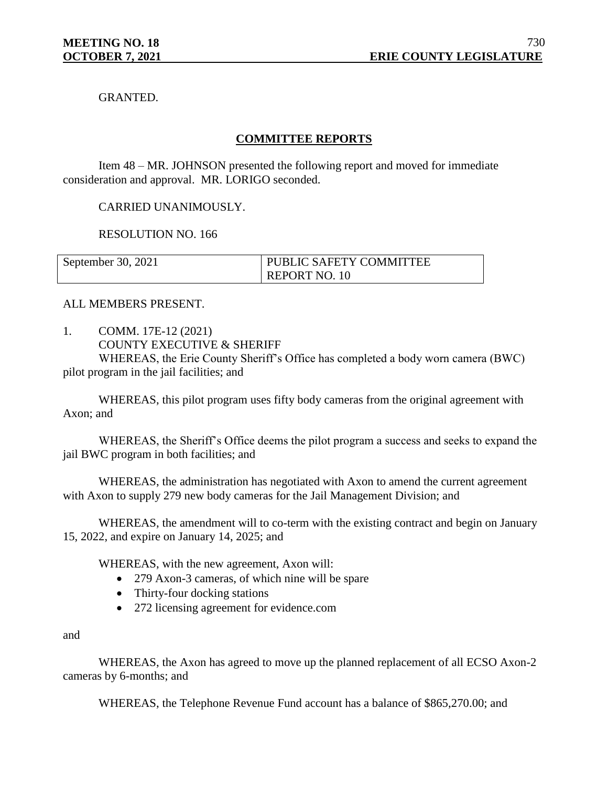GRANTED.

# **COMMITTEE REPORTS**

Item 48 – MR. JOHNSON presented the following report and moved for immediate consideration and approval. MR. LORIGO seconded.

## CARRIED UNANIMOUSLY.

RESOLUTION NO. 166

| September 30, 2021 | PUBLIC SAFETY COMMITTEE |
|--------------------|-------------------------|
|                    | <b>REPORT NO. 10</b>    |

#### ALL MEMBERS PRESENT.

1. COMM. 17E-12 (2021) COUNTY EXECUTIVE & SHERIFF

WHEREAS, the Erie County Sheriff's Office has completed a body worn camera (BWC) pilot program in the jail facilities; and

WHEREAS, this pilot program uses fifty body cameras from the original agreement with Axon; and

WHEREAS, the Sheriff's Office deems the pilot program a success and seeks to expand the jail BWC program in both facilities; and

WHEREAS, the administration has negotiated with Axon to amend the current agreement with Axon to supply 279 new body cameras for the Jail Management Division; and

WHEREAS, the amendment will to co-term with the existing contract and begin on January 15, 2022, and expire on January 14, 2025; and

WHEREAS, with the new agreement, Axon will:

- 279 Axon-3 cameras, of which nine will be spare
- Thirty-four docking stations
- 272 licensing agreement for evidence.com

#### and

WHEREAS, the Axon has agreed to move up the planned replacement of all ECSO Axon-2 cameras by 6-months; and

WHEREAS, the Telephone Revenue Fund account has a balance of \$865,270.00; and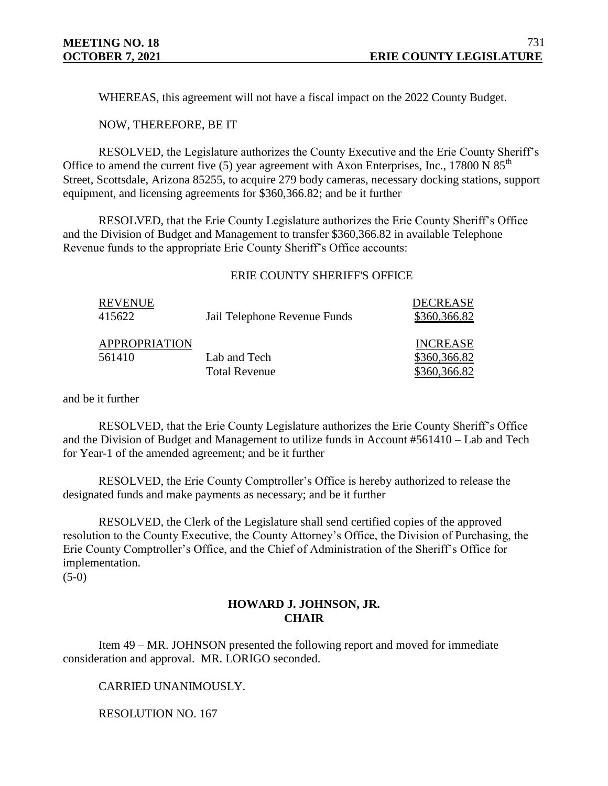WHEREAS, this agreement will not have a fiscal impact on the 2022 County Budget.

NOW, THEREFORE, BE IT

RESOLVED, the Legislature authorizes the County Executive and the Erie County Sheriff's Office to amend the current five (5) year agreement with Axon Enterprises, Inc., 17800 N  $85<sup>th</sup>$ Street, Scottsdale, Arizona 85255, to acquire 279 body cameras, necessary docking stations, support equipment, and licensing agreements for \$360,366.82; and be it further

RESOLVED, that the Erie County Legislature authorizes the Erie County Sheriff's Office and the Division of Budget and Management to transfer \$360,366.82 in available Telephone Revenue funds to the appropriate Erie County Sheriff's Office accounts:

#### ERIE COUNTY SHERIFF'S OFFICE

| <b>REVENUE</b><br>415622       | Jail Telephone Revenue Funds         | DECREASE<br>\$360,366.82                        |
|--------------------------------|--------------------------------------|-------------------------------------------------|
| <b>APPROPRIATION</b><br>561410 | Lab and Tech<br><b>Total Revenue</b> | <b>INCREASE</b><br>\$360,366.82<br>\$360,366.82 |

and be it further

RESOLVED, that the Erie County Legislature authorizes the Erie County Sheriff's Office and the Division of Budget and Management to utilize funds in Account #561410 – Lab and Tech for Year-1 of the amended agreement; and be it further

RESOLVED, the Erie County Comptroller's Office is hereby authorized to release the designated funds and make payments as necessary; and be it further

RESOLVED, the Clerk of the Legislature shall send certified copies of the approved resolution to the County Executive, the County Attorney's Office, the Division of Purchasing, the Erie County Comptroller's Office, and the Chief of Administration of the Sheriff's Office for implementation.

 $(5-0)$ 

## **HOWARD J. JOHNSON, JR. CHAIR**

Item 49 – MR. JOHNSON presented the following report and moved for immediate consideration and approval. MR. LORIGO seconded.

CARRIED UNANIMOUSLY.

RESOLUTION NO. 167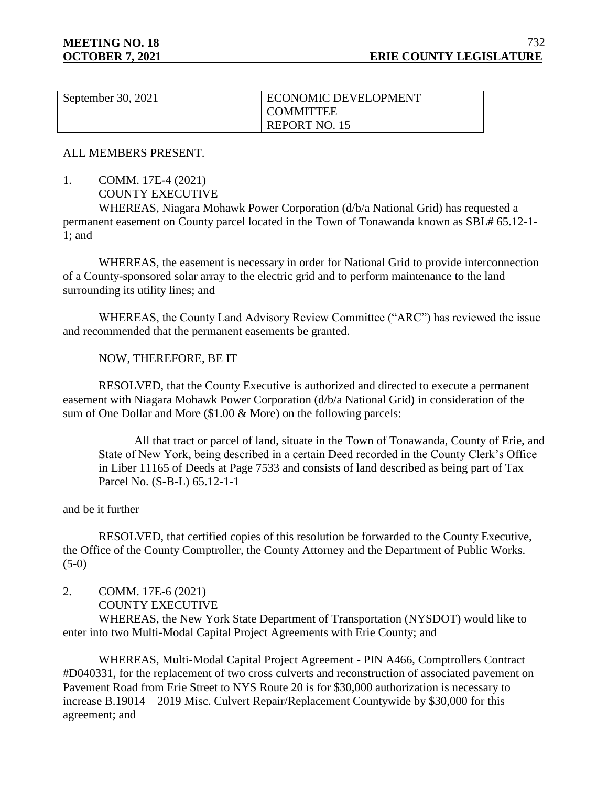| September 30, 2021 | ECONOMIC DEVELOPMENT |
|--------------------|----------------------|
|                    | <b>COMMITTEE</b>     |
|                    | <b>REPORT NO. 15</b> |

ALL MEMBERS PRESENT.

1. COMM. 17E-4 (2021)

COUNTY EXECUTIVE

WHEREAS, Niagara Mohawk Power Corporation (d/b/a National Grid) has requested a permanent easement on County parcel located in the Town of Tonawanda known as SBL# 65.12-1- 1; and

WHEREAS, the easement is necessary in order for National Grid to provide interconnection of a County-sponsored solar array to the electric grid and to perform maintenance to the land surrounding its utility lines; and

WHEREAS, the County Land Advisory Review Committee ("ARC") has reviewed the issue and recommended that the permanent easements be granted.

#### NOW, THEREFORE, BE IT

RESOLVED, that the County Executive is authorized and directed to execute a permanent easement with Niagara Mohawk Power Corporation (d/b/a National Grid) in consideration of the sum of One Dollar and More (\$1.00 & More) on the following parcels:

All that tract or parcel of land, situate in the Town of Tonawanda, County of Erie, and State of New York, being described in a certain Deed recorded in the County Clerk's Office in Liber 11165 of Deeds at Page 7533 and consists of land described as being part of Tax Parcel No. (S-B-L) 65.12-1-1

#### and be it further

RESOLVED, that certified copies of this resolution be forwarded to the County Executive, the Office of the County Comptroller, the County Attorney and the Department of Public Works.  $(5-0)$ 

2. COMM. 17E-6 (2021)

COUNTY EXECUTIVE

WHEREAS, the New York State Department of Transportation (NYSDOT) would like to enter into two Multi-Modal Capital Project Agreements with Erie County; and

WHEREAS, Multi-Modal Capital Project Agreement - PIN A466, Comptrollers Contract #D040331, for the replacement of two cross culverts and reconstruction of associated pavement on Pavement Road from Erie Street to NYS Route 20 is for \$30,000 authorization is necessary to increase B.19014 – 2019 Misc. Culvert Repair/Replacement Countywide by \$30,000 for this agreement; and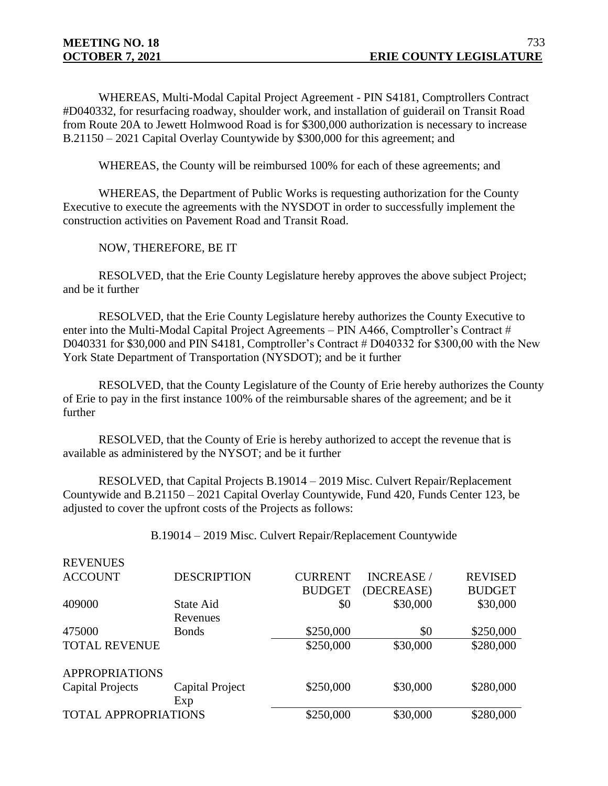REVENUES

WHEREAS, Multi-Modal Capital Project Agreement - PIN S4181, Comptrollers Contract #D040332, for resurfacing roadway, shoulder work, and installation of guiderail on Transit Road from Route 20A to Jewett Holmwood Road is for \$300,000 authorization is necessary to increase B.21150 – 2021 Capital Overlay Countywide by \$300,000 for this agreement; and

WHEREAS, the County will be reimbursed 100% for each of these agreements; and

WHEREAS, the Department of Public Works is requesting authorization for the County Executive to execute the agreements with the NYSDOT in order to successfully implement the construction activities on Pavement Road and Transit Road.

#### NOW, THEREFORE, BE IT

RESOLVED, that the Erie County Legislature hereby approves the above subject Project; and be it further

RESOLVED, that the Erie County Legislature hereby authorizes the County Executive to enter into the Multi-Modal Capital Project Agreements – PIN A466, Comptroller's Contract # D040331 for \$30,000 and PIN S4181, Comptroller's Contract # D040332 for \$300,00 with the New York State Department of Transportation (NYSDOT); and be it further

RESOLVED, that the County Legislature of the County of Erie hereby authorizes the County of Erie to pay in the first instance 100% of the reimbursable shares of the agreement; and be it further

RESOLVED, that the County of Erie is hereby authorized to accept the revenue that is available as administered by the NYSOT; and be it further

RESOLVED, that Capital Projects B.19014 – 2019 Misc. Culvert Repair/Replacement Countywide and B.21150 – 2021 Capital Overlay Countywide, Fund 420, Funds Center 123, be adjusted to cover the upfront costs of the Projects as follows:

B.19014 – 2019 Misc. Culvert Repair/Replacement Countywide

| IVE V EIVUED                |                    |                |                   |                |
|-----------------------------|--------------------|----------------|-------------------|----------------|
| <b>ACCOUNT</b>              | <b>DESCRIPTION</b> | <b>CURRENT</b> | <b>INCREASE</b> / | <b>REVISED</b> |
|                             |                    | <b>BUDGET</b>  | (DECREASE)        | <b>BUDGET</b>  |
| 409000                      | State Aid          | \$0            | \$30,000          | \$30,000       |
|                             | Revenues           |                |                   |                |
| 475000                      | <b>Bonds</b>       | \$250,000      | \$0               | \$250,000      |
| <b>TOTAL REVENUE</b>        |                    | \$250,000      | \$30,000          | \$280,000      |
| <b>APPROPRIATIONS</b>       |                    |                |                   |                |
| <b>Capital Projects</b>     | Capital Project    | \$250,000      | \$30,000          | \$280,000      |
|                             | Exp                |                |                   |                |
| <b>TOTAL APPROPRIATIONS</b> |                    | \$250,000      | \$30,000          | \$280,000      |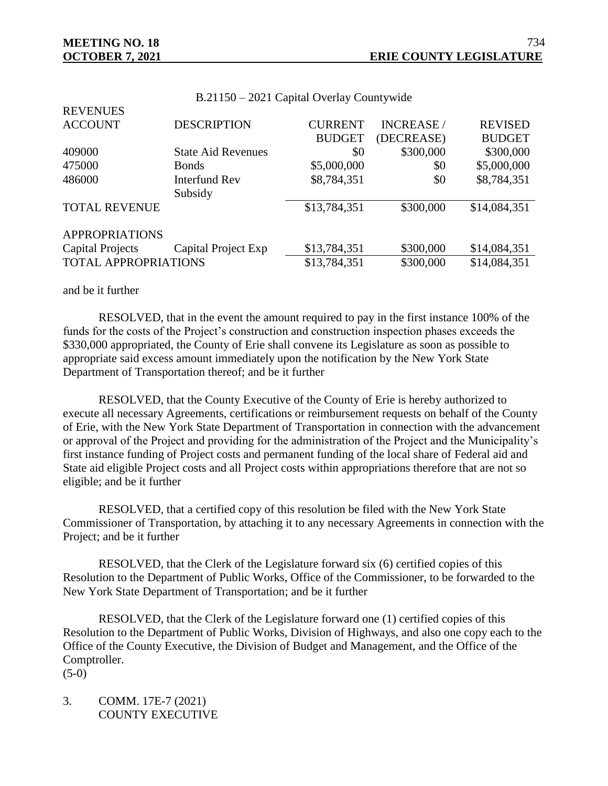**REVENUES** 

| <b>ACCOUNT</b>              | <b>DESCRIPTION</b>        | <b>CURRENT</b> | <b>INCREASE</b> / | <b>REVISED</b> |
|-----------------------------|---------------------------|----------------|-------------------|----------------|
|                             |                           | <b>BUDGET</b>  | (DECREASE)        | <b>BUDGET</b>  |
| 409000                      | <b>State Aid Revenues</b> | \$0            | \$300,000         | \$300,000      |
| 475000                      | <b>Bonds</b>              | \$5,000,000    | \$0               | \$5,000,000    |
| 486000                      | <b>Interfund Rev</b>      | \$8,784,351    | \$0               | \$8,784,351    |
|                             | Subsidy                   |                |                   |                |
| <b>TOTAL REVENUE</b>        |                           | \$13,784,351   | \$300,000         | \$14,084,351   |
| <b>APPROPRIATIONS</b>       |                           |                |                   |                |
| <b>Capital Projects</b>     | Capital Project Exp       | \$13,784,351   | \$300,000         | \$14,084,351   |
| <b>TOTAL APPROPRIATIONS</b> |                           | \$13,784,351   | \$300,000         | \$14,084,351   |
|                             |                           |                |                   |                |

#### B.21150 – 2021 Capital Overlay Countywide

#### and be it further

RESOLVED, that in the event the amount required to pay in the first instance 100% of the funds for the costs of the Project's construction and construction inspection phases exceeds the \$330,000 appropriated, the County of Erie shall convene its Legislature as soon as possible to appropriate said excess amount immediately upon the notification by the New York State Department of Transportation thereof; and be it further

RESOLVED, that the County Executive of the County of Erie is hereby authorized to execute all necessary Agreements, certifications or reimbursement requests on behalf of the County of Erie, with the New York State Department of Transportation in connection with the advancement or approval of the Project and providing for the administration of the Project and the Municipality's first instance funding of Project costs and permanent funding of the local share of Federal aid and State aid eligible Project costs and all Project costs within appropriations therefore that are not so eligible; and be it further

RESOLVED, that a certified copy of this resolution be filed with the New York State Commissioner of Transportation, by attaching it to any necessary Agreements in connection with the Project; and be it further

RESOLVED, that the Clerk of the Legislature forward six (6) certified copies of this Resolution to the Department of Public Works, Office of the Commissioner, to be forwarded to the New York State Department of Transportation; and be it further

RESOLVED, that the Clerk of the Legislature forward one (1) certified copies of this Resolution to the Department of Public Works, Division of Highways, and also one copy each to the Office of the County Executive, the Division of Budget and Management, and the Office of the Comptroller.

 $(5-0)$ 

3. COMM. 17E-7 (2021) COUNTY EXECUTIVE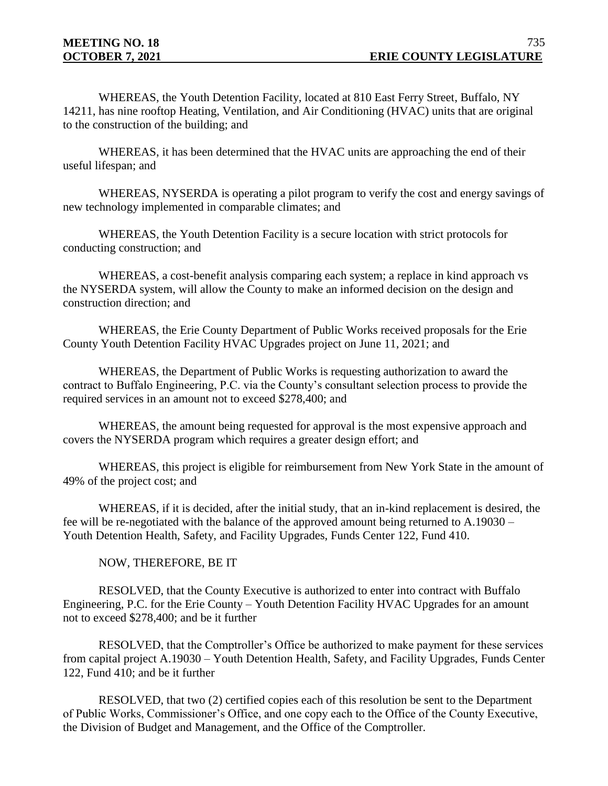WHEREAS, the Youth Detention Facility, located at 810 East Ferry Street, Buffalo, NY 14211, has nine rooftop Heating, Ventilation, and Air Conditioning (HVAC) units that are original to the construction of the building; and

WHEREAS, it has been determined that the HVAC units are approaching the end of their useful lifespan; and

WHEREAS, NYSERDA is operating a pilot program to verify the cost and energy savings of new technology implemented in comparable climates; and

WHEREAS, the Youth Detention Facility is a secure location with strict protocols for conducting construction; and

WHEREAS, a cost-benefit analysis comparing each system; a replace in kind approach vs the NYSERDA system, will allow the County to make an informed decision on the design and construction direction; and

WHEREAS, the Erie County Department of Public Works received proposals for the Erie County Youth Detention Facility HVAC Upgrades project on June 11, 2021; and

WHEREAS, the Department of Public Works is requesting authorization to award the contract to Buffalo Engineering, P.C. via the County's consultant selection process to provide the required services in an amount not to exceed \$278,400; and

WHEREAS, the amount being requested for approval is the most expensive approach and covers the NYSERDA program which requires a greater design effort; and

WHEREAS, this project is eligible for reimbursement from New York State in the amount of 49% of the project cost; and

WHEREAS, if it is decided, after the initial study, that an in-kind replacement is desired, the fee will be re-negotiated with the balance of the approved amount being returned to A.19030 – Youth Detention Health, Safety, and Facility Upgrades, Funds Center 122, Fund 410.

## NOW, THEREFORE, BE IT

RESOLVED, that the County Executive is authorized to enter into contract with Buffalo Engineering, P.C. for the Erie County – Youth Detention Facility HVAC Upgrades for an amount not to exceed \$278,400; and be it further

RESOLVED, that the Comptroller's Office be authorized to make payment for these services from capital project A.19030 – Youth Detention Health, Safety, and Facility Upgrades, Funds Center 122, Fund 410; and be it further

RESOLVED, that two (2) certified copies each of this resolution be sent to the Department of Public Works, Commissioner's Office, and one copy each to the Office of the County Executive, the Division of Budget and Management, and the Office of the Comptroller.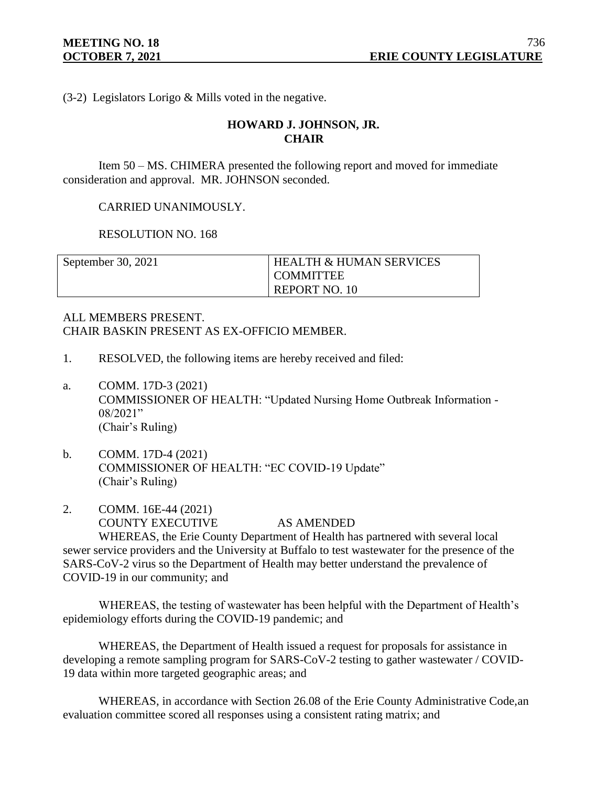(3-2) Legislators Lorigo & Mills voted in the negative.

# **HOWARD J. JOHNSON, JR. CHAIR**

Item 50 – MS. CHIMERA presented the following report and moved for immediate consideration and approval. MR. JOHNSON seconded.

CARRIED UNANIMOUSLY.

RESOLUTION NO. 168

| September 30, 2021 | <b>HEALTH &amp; HUMAN SERVICES</b> |
|--------------------|------------------------------------|
|                    | <b>COMMITTEE</b>                   |
|                    | REPORT NO. 10                      |

# ALL MEMBERS PRESENT. CHAIR BASKIN PRESENT AS EX-OFFICIO MEMBER.

- 1. RESOLVED, the following items are hereby received and filed:
- a. COMM. 17D-3 (2021) COMMISSIONER OF HEALTH: "Updated Nursing Home Outbreak Information - 08/2021" (Chair's Ruling)
- b. COMM. 17D-4 (2021) COMMISSIONER OF HEALTH: "EC COVID-19 Update" (Chair's Ruling)
- 2. COMM. 16E-44 (2021) COUNTY EXECUTIVE AS AMENDED WHEREAS, the Erie County Department of Health has partnered with several local

sewer service providers and the University at Buffalo to test wastewater for the presence of the SARS-CoV-2 virus so the Department of Health may better understand the prevalence of COVID-19 in our community; and

WHEREAS, the testing of wastewater has been helpful with the Department of Health's epidemiology efforts during the COVID-19 pandemic; and

WHEREAS, the Department of Health issued a request for proposals for assistance in developing a remote sampling program for SARS-CoV-2 testing to gather wastewater / COVID-19 data within more targeted geographic areas; and

WHEREAS, in accordance with Section 26.08 of the Erie County Administrative Code,an evaluation committee scored all responses using a consistent rating matrix; and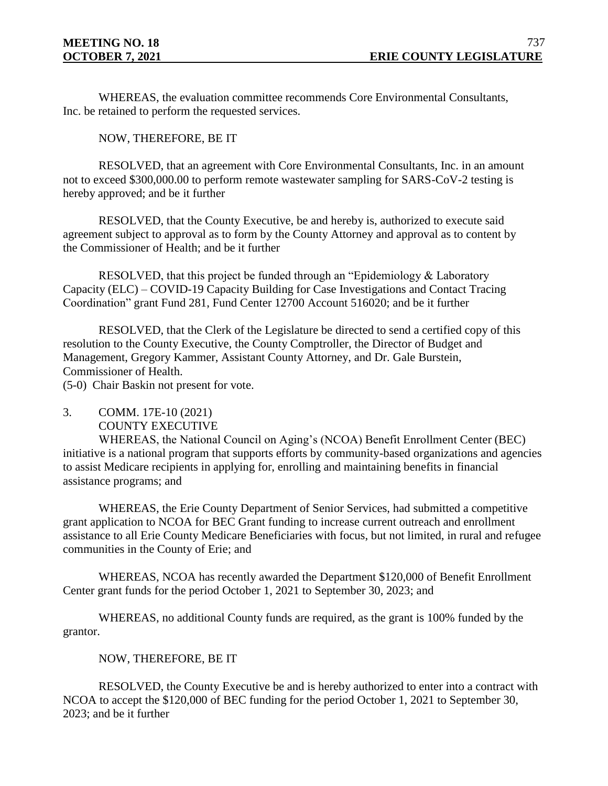WHEREAS, the evaluation committee recommends Core Environmental Consultants, Inc. be retained to perform the requested services.

NOW, THEREFORE, BE IT

RESOLVED, that an agreement with Core Environmental Consultants, Inc. in an amount not to exceed \$300,000.00 to perform remote wastewater sampling for SARS-CoV-2 testing is hereby approved; and be it further

RESOLVED, that the County Executive, be and hereby is, authorized to execute said agreement subject to approval as to form by the County Attorney and approval as to content by the Commissioner of Health; and be it further

RESOLVED, that this project be funded through an "Epidemiology & Laboratory Capacity (ELC) – COVID-19 Capacity Building for Case Investigations and Contact Tracing Coordination" grant Fund 281, Fund Center 12700 Account 516020; and be it further

RESOLVED, that the Clerk of the Legislature be directed to send a certified copy of this resolution to the County Executive, the County Comptroller, the Director of Budget and Management, Gregory Kammer, Assistant County Attorney, and Dr. Gale Burstein, Commissioner of Health.

(5-0) Chair Baskin not present for vote.

3. COMM. 17E-10 (2021) COUNTY EXECUTIVE

WHEREAS, the National Council on Aging's (NCOA) Benefit Enrollment Center (BEC) initiative is a national program that supports efforts by community-based organizations and agencies to assist Medicare recipients in applying for, enrolling and maintaining benefits in financial assistance programs; and

WHEREAS, the Erie County Department of Senior Services, had submitted a competitive grant application to NCOA for BEC Grant funding to increase current outreach and enrollment assistance to all Erie County Medicare Beneficiaries with focus, but not limited, in rural and refugee communities in the County of Erie; and

WHEREAS, NCOA has recently awarded the Department \$120,000 of Benefit Enrollment Center grant funds for the period October 1, 2021 to September 30, 2023; and

WHEREAS, no additional County funds are required, as the grant is 100% funded by the grantor.

# NOW, THEREFORE, BE IT

RESOLVED, the County Executive be and is hereby authorized to enter into a contract with NCOA to accept the \$120,000 of BEC funding for the period October 1, 2021 to September 30, 2023; and be it further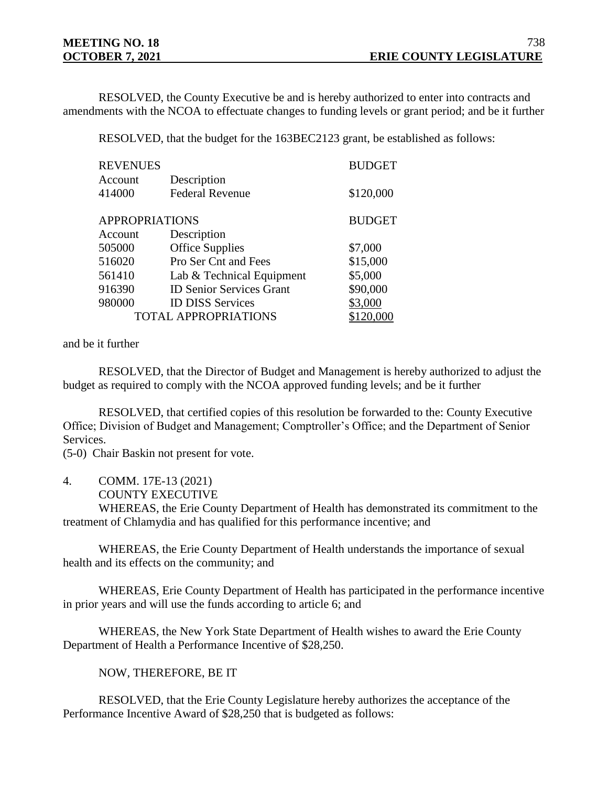RESOLVED, the County Executive be and is hereby authorized to enter into contracts and amendments with the NCOA to effectuate changes to funding levels or grant period; and be it further

RESOLVED, that the budget for the 163BEC2123 grant, be established as follows:

| <b>REVENUES</b>       |                                 | <b>BUDGET</b> |
|-----------------------|---------------------------------|---------------|
| Account               | Description                     |               |
| 414000                | <b>Federal Revenue</b>          | \$120,000     |
| <b>APPROPRIATIONS</b> |                                 | <b>BUDGET</b> |
| Account               | Description                     |               |
| 505000                | <b>Office Supplies</b>          | \$7,000       |
| 516020                | Pro Ser Cnt and Fees            | \$15,000      |
| 561410                | Lab & Technical Equipment       | \$5,000       |
| 916390                | <b>ID Senior Services Grant</b> | \$90,000      |
| 980000                | <b>ID DISS Services</b>         | \$3,000       |
|                       | <b>TOTAL APPROPRIATIONS</b>     |               |

#### and be it further

RESOLVED, that the Director of Budget and Management is hereby authorized to adjust the budget as required to comply with the NCOA approved funding levels; and be it further

RESOLVED, that certified copies of this resolution be forwarded to the: County Executive Office; Division of Budget and Management; Comptroller's Office; and the Department of Senior Services.

(5-0) Chair Baskin not present for vote.

4. COMM. 17E-13 (2021)

COUNTY EXECUTIVE

WHEREAS, the Erie County Department of Health has demonstrated its commitment to the treatment of Chlamydia and has qualified for this performance incentive; and

WHEREAS, the Erie County Department of Health understands the importance of sexual health and its effects on the community; and

WHEREAS, Erie County Department of Health has participated in the performance incentive in prior years and will use the funds according to article 6; and

WHEREAS, the New York State Department of Health wishes to award the Erie County Department of Health a Performance Incentive of \$28,250.

NOW, THEREFORE, BE IT

 RESOLVED, that the Erie County Legislature hereby authorizes the acceptance of the Performance Incentive Award of \$28,250 that is budgeted as follows: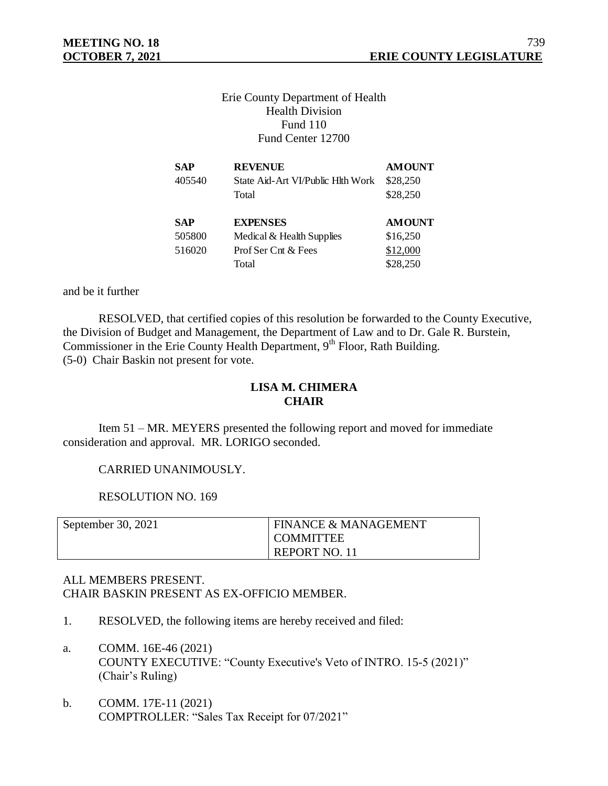# Erie County Department of Health Health Division Fund 110 Fund Center 12700

| SAP        | <b>REVENUE</b>                    | <b>AMOUNT</b> |
|------------|-----------------------------------|---------------|
| 405540     | State Aid-Art VI/Public Hlth Work | \$28,250      |
|            | Total                             | \$28,250      |
|            |                                   |               |
|            |                                   |               |
| <b>SAP</b> | <b>EXPENSES</b>                   | <b>AMOUNT</b> |
| 505800     | Medical & Health Supplies         | \$16,250      |
| 516020     | Prof Ser Cnt $\&$ Fees            | \$12,000      |

and be it further

RESOLVED, that certified copies of this resolution be forwarded to the County Executive, the Division of Budget and Management, the Department of Law and to Dr. Gale R. Burstein, Commissioner in the Erie County Health Department, 9<sup>th</sup> Floor, Rath Building. (5-0) Chair Baskin not present for vote.

# **LISA M. CHIMERA CHAIR**

Item 51 – MR. MEYERS presented the following report and moved for immediate consideration and approval. MR. LORIGO seconded.

## CARRIED UNANIMOUSLY.

RESOLUTION NO. 169

| September 30, 2021 | <b>FINANCE &amp; MANAGEMENT</b> |
|--------------------|---------------------------------|
|                    | <b>COMMITTEE</b>                |
|                    | <b>REPORT NO. 11</b>            |

# ALL MEMBERS PRESENT. CHAIR BASKIN PRESENT AS EX-OFFICIO MEMBER.

- 1. RESOLVED, the following items are hereby received and filed:
- a. COMM. 16E-46 (2021) COUNTY EXECUTIVE: "County Executive's Veto of INTRO. 15-5 (2021)" (Chair's Ruling)
- b. COMM. 17E-11 (2021) COMPTROLLER: "Sales Tax Receipt for 07/2021"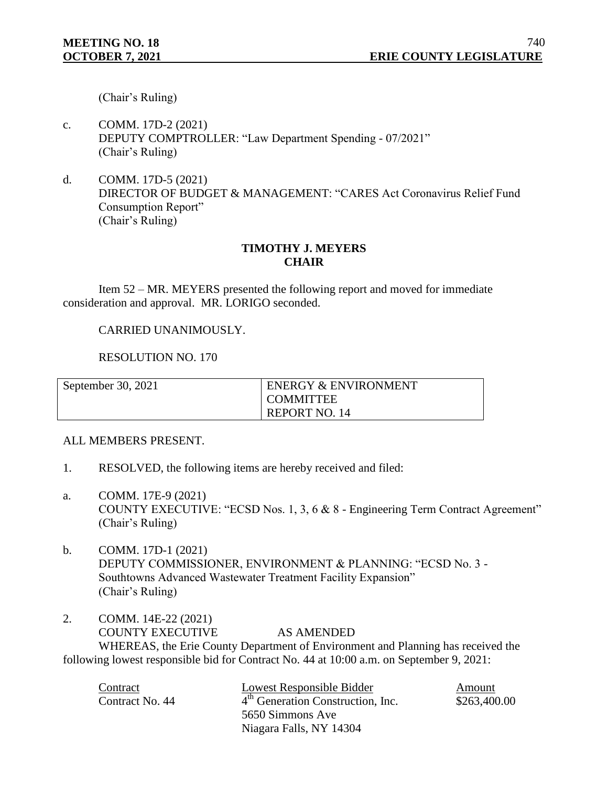(Chair's Ruling)

- c. COMM. 17D-2 (2021) DEPUTY COMPTROLLER: "Law Department Spending - 07/2021" (Chair's Ruling)
- d. COMM. 17D-5 (2021) DIRECTOR OF BUDGET & MANAGEMENT: "CARES Act Coronavirus Relief Fund Consumption Report" (Chair's Ruling)

# **TIMOTHY J. MEYERS CHAIR**

Item 52 – MR. MEYERS presented the following report and moved for immediate consideration and approval. MR. LORIGO seconded.

## CARRIED UNANIMOUSLY.

RESOLUTION NO. 170

| September 30, 2021 | <b>ENERGY &amp; ENVIRONMENT</b><br>I COMMITTEE |
|--------------------|------------------------------------------------|
|                    | <b>REPORT NO. 14</b>                           |

## ALL MEMBERS PRESENT.

- 1. RESOLVED, the following items are hereby received and filed:
- a. COMM. 17E-9 (2021) COUNTY EXECUTIVE: "ECSD Nos. 1, 3, 6 & 8 - Engineering Term Contract Agreement" (Chair's Ruling)
- b. COMM. 17D-1 (2021) DEPUTY COMMISSIONER, ENVIRONMENT & PLANNING: "ECSD No. 3 - Southtowns Advanced Wastewater Treatment Facility Expansion" (Chair's Ruling)
- 2. COMM. 14E-22 (2021) COUNTY EXECUTIVE AS AMENDED WHEREAS, the Erie County Department of Environment and Planning has received the following lowest responsible bid for Contract No. 44 at 10:00 a.m. on September 9, 2021:

| Contract        | Lowest Responsible Bidder                                     | Amount |
|-----------------|---------------------------------------------------------------|--------|
| Contract No. 44 | 4 <sup>th</sup> Generation Construction, Inc.<br>\$263,400.00 |        |
|                 | 5650 Simmons Ave                                              |        |
|                 | Niagara Falls, NY 14304                                       |        |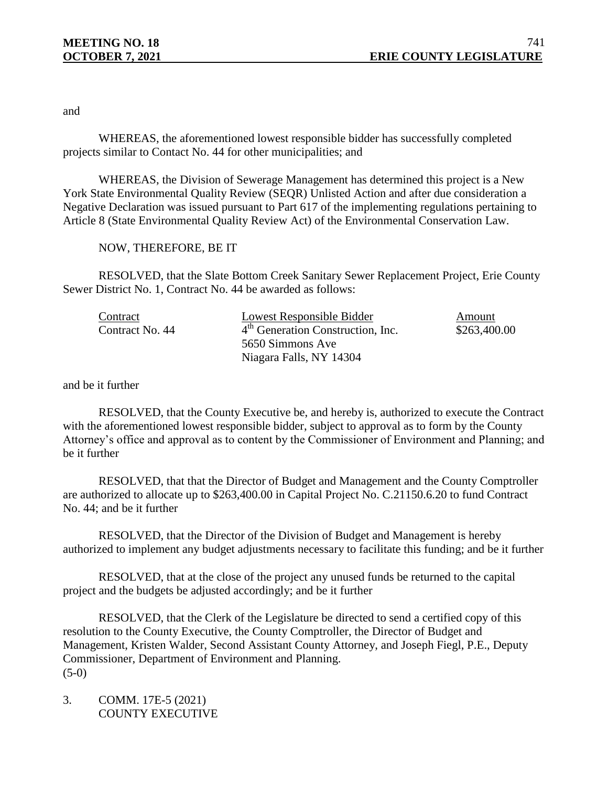and

WHEREAS, the aforementioned lowest responsible bidder has successfully completed projects similar to Contact No. 44 for other municipalities; and

WHEREAS, the Division of Sewerage Management has determined this project is a New York State Environmental Quality Review (SEQR) Unlisted Action and after due consideration a Negative Declaration was issued pursuant to Part 617 of the implementing regulations pertaining to Article 8 (State Environmental Quality Review Act) of the Environmental Conservation Law.

## NOW, THEREFORE, BE IT

RESOLVED, that the Slate Bottom Creek Sanitary Sewer Replacement Project, Erie County Sewer District No. 1, Contract No. 44 be awarded as follows:

| Contract        | Lowest Responsible Bidder                                     | Amount |
|-----------------|---------------------------------------------------------------|--------|
| Contract No. 44 | 4 <sup>th</sup> Generation Construction, Inc.<br>\$263,400.00 |        |
|                 | 5650 Simmons Ave                                              |        |
|                 | Niagara Falls, NY 14304                                       |        |

and be it further

RESOLVED, that the County Executive be, and hereby is, authorized to execute the Contract with the aforementioned lowest responsible bidder, subject to approval as to form by the County Attorney's office and approval as to content by the Commissioner of Environment and Planning; and be it further

RESOLVED, that that the Director of Budget and Management and the County Comptroller are authorized to allocate up to \$263,400.00 in Capital Project No. C.21150.6.20 to fund Contract No. 44; and be it further

RESOLVED, that the Director of the Division of Budget and Management is hereby authorized to implement any budget adjustments necessary to facilitate this funding; and be it further

RESOLVED, that at the close of the project any unused funds be returned to the capital project and the budgets be adjusted accordingly; and be it further

RESOLVED, that the Clerk of the Legislature be directed to send a certified copy of this resolution to the County Executive, the County Comptroller, the Director of Budget and Management, Kristen Walder, Second Assistant County Attorney, and Joseph Fiegl, P.E., Deputy Commissioner, Department of Environment and Planning.  $(5-0)$ 

3. COMM. 17E-5 (2021) COUNTY EXECUTIVE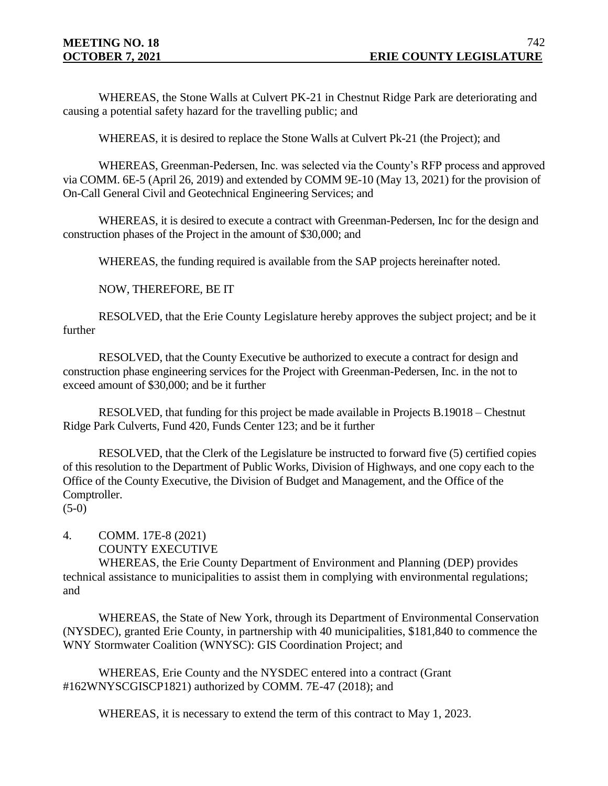WHEREAS, the Stone Walls at Culvert PK-21 in Chestnut Ridge Park are deteriorating and causing a potential safety hazard for the travelling public; and

WHEREAS, it is desired to replace the Stone Walls at Culvert Pk-21 (the Project); and

WHEREAS, Greenman-Pedersen, Inc. was selected via the County's RFP process and approved via COMM. 6E-5 (April 26, 2019) and extended by COMM 9E-10 (May 13, 2021) for the provision of On-Call General Civil and Geotechnical Engineering Services; and

WHEREAS, it is desired to execute a contract with Greenman-Pedersen, Inc for the design and construction phases of the Project in the amount of \$30,000; and

WHEREAS, the funding required is available from the SAP projects hereinafter noted.

NOW, THEREFORE, BE IT

RESOLVED, that the Erie County Legislature hereby approves the subject project; and be it further

RESOLVED, that the County Executive be authorized to execute a contract for design and construction phase engineering services for the Project with Greenman-Pedersen, Inc. in the not to exceed amount of \$30,000; and be it further

RESOLVED, that funding for this project be made available in Projects B.19018 – Chestnut Ridge Park Culverts, Fund 420, Funds Center 123; and be it further

RESOLVED, that the Clerk of the Legislature be instructed to forward five (5) certified copies of this resolution to the Department of Public Works, Division of Highways, and one copy each to the Office of the County Executive, the Division of Budget and Management, and the Office of the Comptroller.

(5-0)

# 4. COMM. 17E-8 (2021) COUNTY EXECUTIVE

WHEREAS, the Erie County Department of Environment and Planning (DEP) provides technical assistance to municipalities to assist them in complying with environmental regulations; and

WHEREAS, the State of New York, through its Department of Environmental Conservation (NYSDEC), granted Erie County, in partnership with 40 municipalities, \$181,840 to commence the WNY Stormwater Coalition (WNYSC): GIS Coordination Project; and

WHEREAS, Erie County and the NYSDEC entered into a contract (Grant #162WNYSCGISCP1821) authorized by COMM. 7E-47 (2018); and

WHEREAS, it is necessary to extend the term of this contract to May 1, 2023.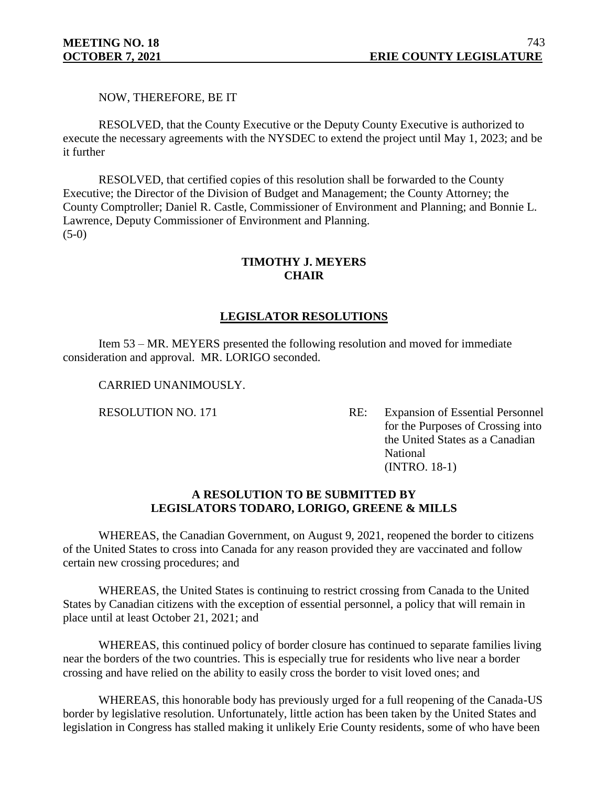NOW, THEREFORE, BE IT

RESOLVED, that the County Executive or the Deputy County Executive is authorized to execute the necessary agreements with the NYSDEC to extend the project until May 1, 2023; and be it further

RESOLVED, that certified copies of this resolution shall be forwarded to the County Executive; the Director of the Division of Budget and Management; the County Attorney; the County Comptroller; Daniel R. Castle, Commissioner of Environment and Planning; and Bonnie L. Lawrence, Deputy Commissioner of Environment and Planning. (5-0)

# **TIMOTHY J. MEYERS CHAIR**

# **LEGISLATOR RESOLUTIONS**

Item 53 – MR. MEYERS presented the following resolution and moved for immediate consideration and approval. MR. LORIGO seconded.

CARRIED UNANIMOUSLY.

RESOLUTION NO. 171 RE: Expansion of Essential Personnel for the Purposes of Crossing into the United States as a Canadian National (INTRO. 18-1)

## **A RESOLUTION TO BE SUBMITTED BY LEGISLATORS TODARO, LORIGO, GREENE & MILLS**

WHEREAS, the Canadian Government, on August 9, 2021, reopened the border to citizens of the United States to cross into Canada for any reason provided they are vaccinated and follow certain new crossing procedures; and

WHEREAS, the United States is continuing to restrict crossing from Canada to the United States by Canadian citizens with the exception of essential personnel, a policy that will remain in place until at least October 21, 2021; and

WHEREAS, this continued policy of border closure has continued to separate families living near the borders of the two countries. This is especially true for residents who live near a border crossing and have relied on the ability to easily cross the border to visit loved ones; and

WHEREAS, this honorable body has previously urged for a full reopening of the Canada-US border by legislative resolution. Unfortunately, little action has been taken by the United States and legislation in Congress has stalled making it unlikely Erie County residents, some of who have been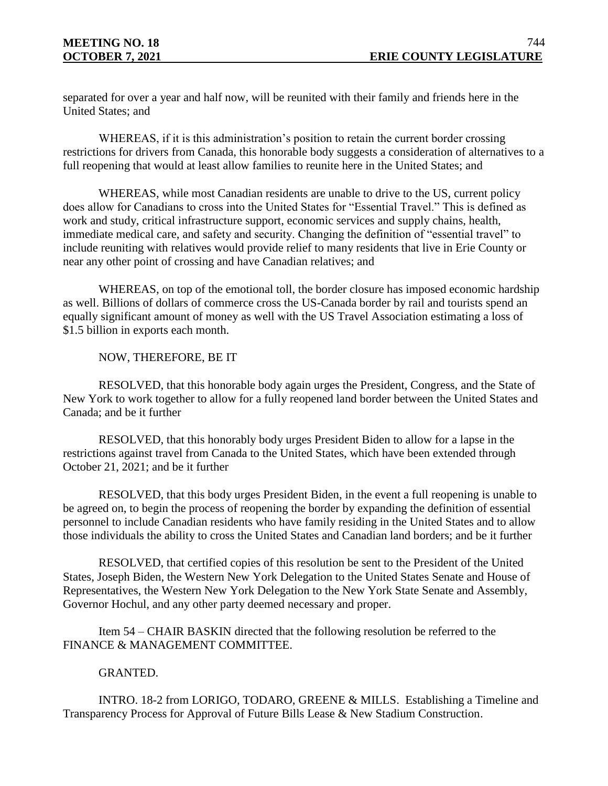separated for over a year and half now, will be reunited with their family and friends here in the United States; and

WHEREAS, if it is this administration's position to retain the current border crossing restrictions for drivers from Canada, this honorable body suggests a consideration of alternatives to a full reopening that would at least allow families to reunite here in the United States; and

WHEREAS, while most Canadian residents are unable to drive to the US, current policy does allow for Canadians to cross into the United States for "Essential Travel." This is defined as work and study, critical infrastructure support, economic services and supply chains, health, immediate medical care, and safety and security. Changing the definition of "essential travel" to include reuniting with relatives would provide relief to many residents that live in Erie County or near any other point of crossing and have Canadian relatives; and

WHEREAS, on top of the emotional toll, the border closure has imposed economic hardship as well. Billions of dollars of commerce cross the US-Canada border by rail and tourists spend an equally significant amount of money as well with the US Travel Association estimating a loss of \$1.5 billion in exports each month.

## NOW, THEREFORE, BE IT

RESOLVED, that this honorable body again urges the President, Congress, and the State of New York to work together to allow for a fully reopened land border between the United States and Canada; and be it further

RESOLVED, that this honorably body urges President Biden to allow for a lapse in the restrictions against travel from Canada to the United States, which have been extended through October 21, 2021; and be it further

RESOLVED, that this body urges President Biden, in the event a full reopening is unable to be agreed on, to begin the process of reopening the border by expanding the definition of essential personnel to include Canadian residents who have family residing in the United States and to allow those individuals the ability to cross the United States and Canadian land borders; and be it further

RESOLVED, that certified copies of this resolution be sent to the President of the United States, Joseph Biden, the Western New York Delegation to the United States Senate and House of Representatives, the Western New York Delegation to the New York State Senate and Assembly, Governor Hochul, and any other party deemed necessary and proper.

Item 54 – CHAIR BASKIN directed that the following resolution be referred to the FINANCE & MANAGEMENT COMMITTEE.

# GRANTED.

INTRO. 18-2 from LORIGO, TODARO, GREENE & MILLS. Establishing a Timeline and Transparency Process for Approval of Future Bills Lease & New Stadium Construction.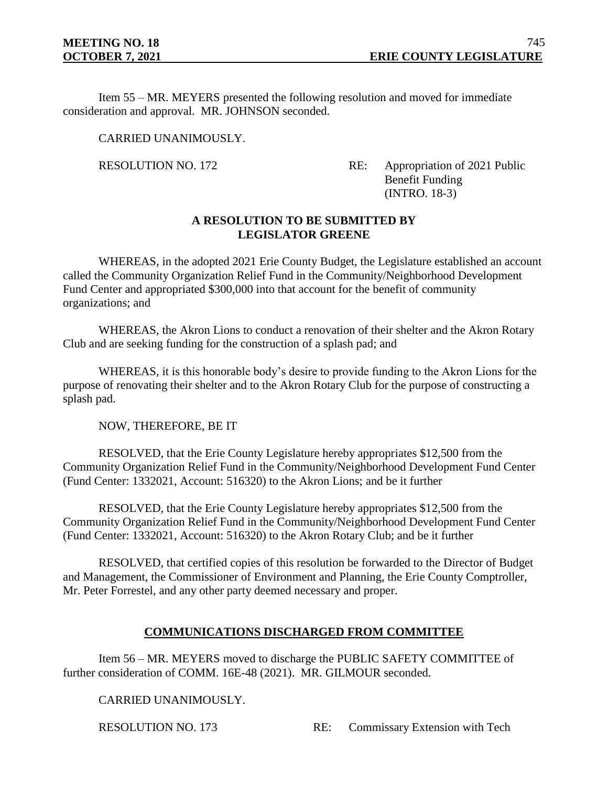Item 55 – MR. MEYERS presented the following resolution and moved for immediate consideration and approval. MR. JOHNSON seconded.

CARRIED UNANIMOUSLY.

RESOLUTION NO. 172 RE: Appropriation of 2021 Public Benefit Funding (INTRO. 18-3)

## **A RESOLUTION TO BE SUBMITTED BY LEGISLATOR GREENE**

WHEREAS, in the adopted 2021 Erie County Budget, the Legislature established an account called the Community Organization Relief Fund in the Community/Neighborhood Development Fund Center and appropriated \$300,000 into that account for the benefit of community organizations; and

WHEREAS, the Akron Lions to conduct a renovation of their shelter and the Akron Rotary Club and are seeking funding for the construction of a splash pad; and

WHEREAS, it is this honorable body's desire to provide funding to the Akron Lions for the purpose of renovating their shelter and to the Akron Rotary Club for the purpose of constructing a splash pad.

NOW, THEREFORE, BE IT

RESOLVED, that the Erie County Legislature hereby appropriates \$12,500 from the Community Organization Relief Fund in the Community/Neighborhood Development Fund Center (Fund Center: 1332021, Account: 516320) to the Akron Lions; and be it further

RESOLVED, that the Erie County Legislature hereby appropriates \$12,500 from the Community Organization Relief Fund in the Community/Neighborhood Development Fund Center (Fund Center: 1332021, Account: 516320) to the Akron Rotary Club; and be it further

RESOLVED, that certified copies of this resolution be forwarded to the Director of Budget and Management, the Commissioner of Environment and Planning, the Erie County Comptroller, Mr. Peter Forrestel, and any other party deemed necessary and proper.

# **COMMUNICATIONS DISCHARGED FROM COMMITTEE**

Item 56 – MR. MEYERS moved to discharge the PUBLIC SAFETY COMMITTEE of further consideration of COMM. 16E-48 (2021). MR. GILMOUR seconded.

CARRIED UNANIMOUSLY.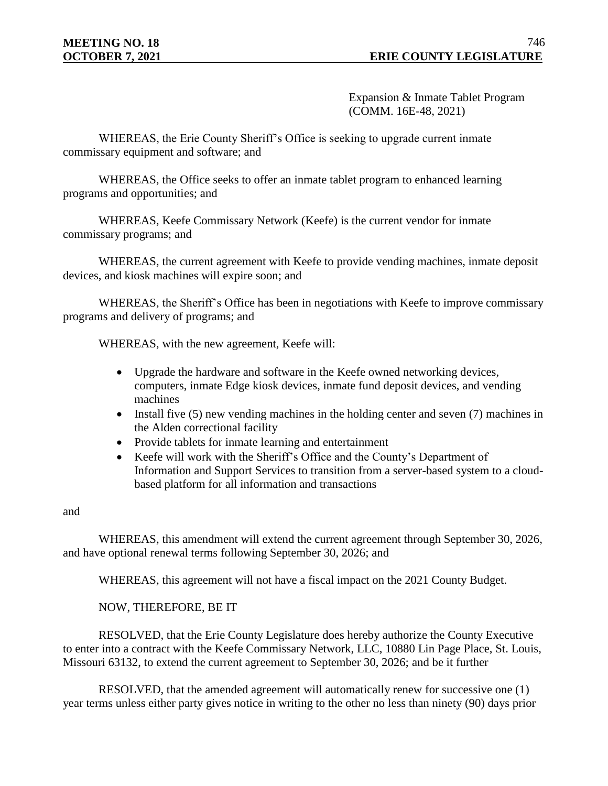Expansion & Inmate Tablet Program (COMM. 16E-48, 2021)

WHEREAS, the Erie County Sheriff's Office is seeking to upgrade current inmate commissary equipment and software; and

WHEREAS, the Office seeks to offer an inmate tablet program to enhanced learning programs and opportunities; and

WHEREAS, Keefe Commissary Network (Keefe) is the current vendor for inmate commissary programs; and

WHEREAS, the current agreement with Keefe to provide vending machines, inmate deposit devices, and kiosk machines will expire soon; and

WHEREAS, the Sheriff's Office has been in negotiations with Keefe to improve commissary programs and delivery of programs; and

WHEREAS, with the new agreement, Keefe will:

- Upgrade the hardware and software in the Keefe owned networking devices, computers, inmate Edge kiosk devices, inmate fund deposit devices, and vending machines
- Install five  $(5)$  new vending machines in the holding center and seven  $(7)$  machines in the Alden correctional facility
- Provide tablets for inmate learning and entertainment
- Keefe will work with the Sheriff's Office and the County's Department of Information and Support Services to transition from a server-based system to a cloudbased platform for all information and transactions

#### and

WHEREAS, this amendment will extend the current agreement through September 30, 2026, and have optional renewal terms following September 30, 2026; and

WHEREAS, this agreement will not have a fiscal impact on the 2021 County Budget.

NOW, THEREFORE, BE IT

RESOLVED, that the Erie County Legislature does hereby authorize the County Executive to enter into a contract with the Keefe Commissary Network, LLC, 10880 Lin Page Place, St. Louis, Missouri 63132, to extend the current agreement to September 30, 2026; and be it further

RESOLVED, that the amended agreement will automatically renew for successive one (1) year terms unless either party gives notice in writing to the other no less than ninety (90) days prior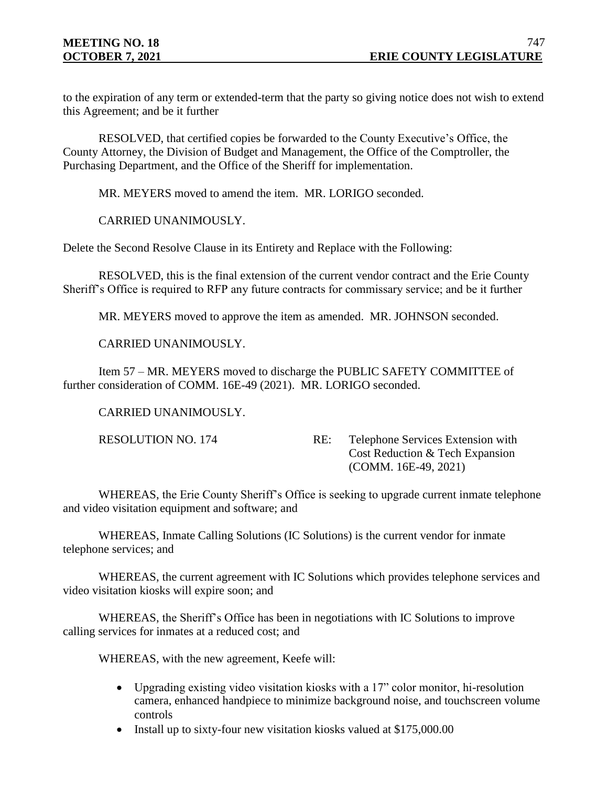to the expiration of any term or extended-term that the party so giving notice does not wish to extend this Agreement; and be it further

RESOLVED, that certified copies be forwarded to the County Executive's Office, the County Attorney, the Division of Budget and Management, the Office of the Comptroller, the Purchasing Department, and the Office of the Sheriff for implementation.

MR. MEYERS moved to amend the item. MR. LORIGO seconded.

CARRIED UNANIMOUSLY.

Delete the Second Resolve Clause in its Entirety and Replace with the Following:

RESOLVED, this is the final extension of the current vendor contract and the Erie County Sheriff's Office is required to RFP any future contracts for commissary service; and be it further

MR. MEYERS moved to approve the item as amended. MR. JOHNSON seconded.

CARRIED UNANIMOUSLY.

Item 57 – MR. MEYERS moved to discharge the PUBLIC SAFETY COMMITTEE of further consideration of COMM. 16E-49 (2021). MR. LORIGO seconded.

CARRIED UNANIMOUSLY.

RESOLUTION NO. 174 RE: Telephone Services Extension with Cost Reduction & Tech Expansion (COMM. 16E-49, 2021)

WHEREAS, the Erie County Sheriff's Office is seeking to upgrade current inmate telephone and video visitation equipment and software; and

WHEREAS, Inmate Calling Solutions (IC Solutions) is the current vendor for inmate telephone services; and

WHEREAS, the current agreement with IC Solutions which provides telephone services and video visitation kiosks will expire soon; and

WHEREAS, the Sheriff's Office has been in negotiations with IC Solutions to improve calling services for inmates at a reduced cost; and

WHEREAS, with the new agreement, Keefe will:

- Upgrading existing video visitation kiosks with a 17" color monitor, hi-resolution camera, enhanced handpiece to minimize background noise, and touchscreen volume controls
- Install up to sixty-four new visitation kiosks valued at \$175,000.00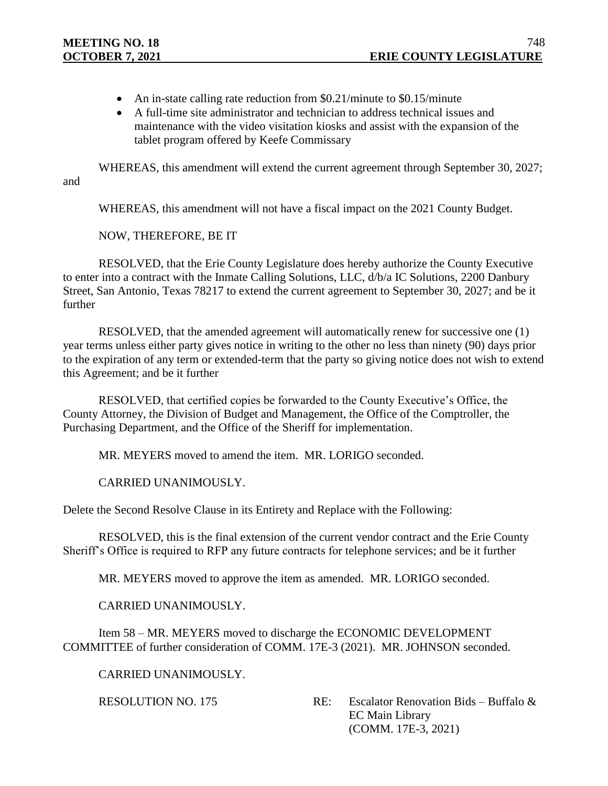- An in-state calling rate reduction from \$0.21/minute to \$0.15/minute
- A full-time site administrator and technician to address technical issues and maintenance with the video visitation kiosks and assist with the expansion of the tablet program offered by Keefe Commissary

WHEREAS, this amendment will extend the current agreement through September 30, 2027; and

WHEREAS, this amendment will not have a fiscal impact on the 2021 County Budget.

NOW, THEREFORE, BE IT

RESOLVED, that the Erie County Legislature does hereby authorize the County Executive to enter into a contract with the Inmate Calling Solutions, LLC, d/b/a IC Solutions, 2200 Danbury Street, San Antonio, Texas 78217 to extend the current agreement to September 30, 2027; and be it further

RESOLVED, that the amended agreement will automatically renew for successive one (1) year terms unless either party gives notice in writing to the other no less than ninety (90) days prior to the expiration of any term or extended-term that the party so giving notice does not wish to extend this Agreement; and be it further

RESOLVED, that certified copies be forwarded to the County Executive's Office, the County Attorney, the Division of Budget and Management, the Office of the Comptroller, the Purchasing Department, and the Office of the Sheriff for implementation.

MR. MEYERS moved to amend the item. MR. LORIGO seconded.

CARRIED UNANIMOUSLY.

Delete the Second Resolve Clause in its Entirety and Replace with the Following:

RESOLVED, this is the final extension of the current vendor contract and the Erie County Sheriff's Office is required to RFP any future contracts for telephone services; and be it further

MR. MEYERS moved to approve the item as amended. MR. LORIGO seconded.

CARRIED UNANIMOUSLY.

Item 58 – MR. MEYERS moved to discharge the ECONOMIC DEVELOPMENT COMMITTEE of further consideration of COMM. 17E-3 (2021). MR. JOHNSON seconded.

CARRIED UNANIMOUSLY.

RESOLUTION NO. 175 RE: Escalator Renovation Bids – Buffalo & EC Main Library (COMM. 17E-3, 2021)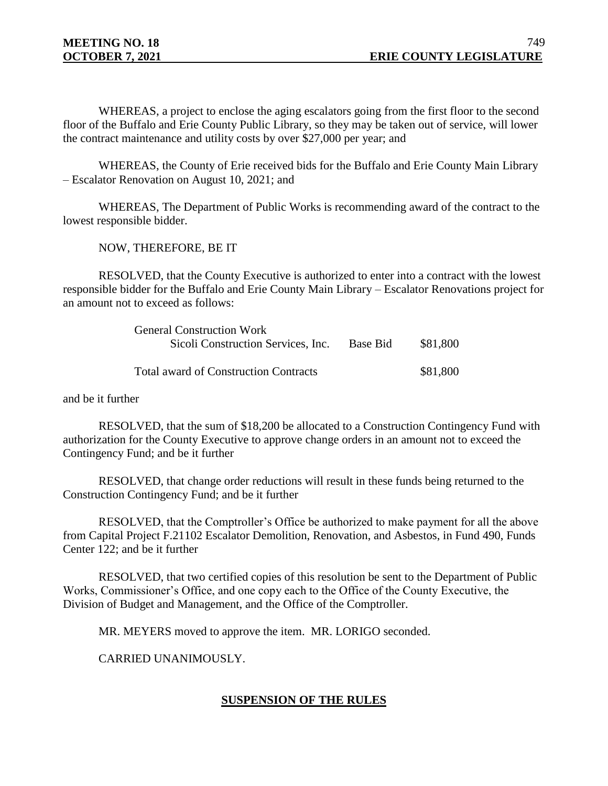WHEREAS, a project to enclose the aging escalators going from the first floor to the second floor of the Buffalo and Erie County Public Library, so they may be taken out of service, will lower the contract maintenance and utility costs by over \$27,000 per year; and

WHEREAS, the County of Erie received bids for the Buffalo and Erie County Main Library – Escalator Renovation on August 10, 2021; and

WHEREAS, The Department of Public Works is recommending award of the contract to the lowest responsible bidder.

NOW, THEREFORE, BE IT

RESOLVED, that the County Executive is authorized to enter into a contract with the lowest responsible bidder for the Buffalo and Erie County Main Library – Escalator Renovations project for an amount not to exceed as follows:

| <b>General Construction Work</b>             |          |          |
|----------------------------------------------|----------|----------|
| Sicoli Construction Services, Inc.           | Base Bid | \$81,800 |
| <b>Total award of Construction Contracts</b> |          | \$81,800 |

and be it further

RESOLVED, that the sum of \$18,200 be allocated to a Construction Contingency Fund with authorization for the County Executive to approve change orders in an amount not to exceed the Contingency Fund; and be it further

RESOLVED, that change order reductions will result in these funds being returned to the Construction Contingency Fund; and be it further

RESOLVED, that the Comptroller's Office be authorized to make payment for all the above from Capital Project F.21102 Escalator Demolition, Renovation, and Asbestos, in Fund 490, Funds Center 122; and be it further

RESOLVED, that two certified copies of this resolution be sent to the Department of Public Works, Commissioner's Office, and one copy each to the Office of the County Executive, the Division of Budget and Management, and the Office of the Comptroller.

MR. MEYERS moved to approve the item. MR. LORIGO seconded.

CARRIED UNANIMOUSLY.

# **SUSPENSION OF THE RULES**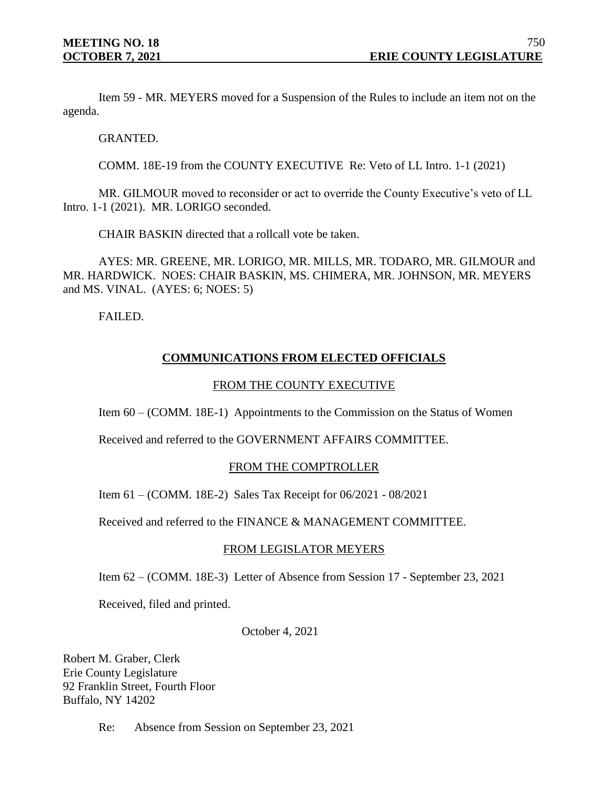Item 59 - MR. MEYERS moved for a Suspension of the Rules to include an item not on the agenda.

GRANTED.

COMM. 18E-19 from the COUNTY EXECUTIVE Re: Veto of LL Intro. 1-1 (2021)

MR. GILMOUR moved to reconsider or act to override the County Executive's veto of LL Intro. 1-1 (2021). MR. LORIGO seconded.

CHAIR BASKIN directed that a rollcall vote be taken.

AYES: MR. GREENE, MR. LORIGO, MR. MILLS, MR. TODARO, MR. GILMOUR and MR. HARDWICK. NOES: CHAIR BASKIN, MS. CHIMERA, MR. JOHNSON, MR. MEYERS and MS. VINAL. (AYES: 6; NOES: 5)

FAILED.

# **COMMUNICATIONS FROM ELECTED OFFICIALS**

## FROM THE COUNTY EXECUTIVE

Item 60 – (COMM. 18E-1) Appointments to the Commission on the Status of Women

Received and referred to the GOVERNMENT AFFAIRS COMMITTEE.

## FROM THE COMPTROLLER

Item 61 – (COMM. 18E-2) Sales Tax Receipt for 06/2021 - 08/2021

Received and referred to the FINANCE & MANAGEMENT COMMITTEE.

#### FROM LEGISLATOR MEYERS

Item 62 – (COMM. 18E-3) Letter of Absence from Session 17 - September 23, 2021

Received, filed and printed.

October 4, 2021

Robert M. Graber, Clerk Erie County Legislature 92 Franklin Street, Fourth Floor Buffalo, NY 14202

Re: Absence from Session on September 23, 2021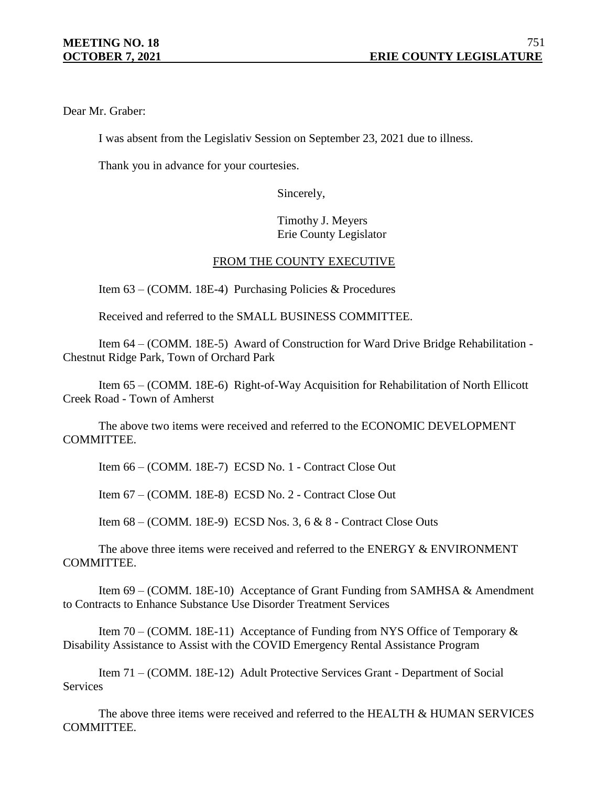Dear Mr. Graber:

I was absent from the Legislativ Session on September 23, 2021 due to illness.

Thank you in advance for your courtesies.

Sincerely,

Timothy J. Meyers Erie County Legislator

# FROM THE COUNTY EXECUTIVE

Item 63 – (COMM. 18E-4) Purchasing Policies & Procedures

Received and referred to the SMALL BUSINESS COMMITTEE.

Item 64 – (COMM. 18E-5) Award of Construction for Ward Drive Bridge Rehabilitation - Chestnut Ridge Park, Town of Orchard Park

Item 65 – (COMM. 18E-6) Right-of-Way Acquisition for Rehabilitation of North Ellicott Creek Road - Town of Amherst

The above two items were received and referred to the ECONOMIC DEVELOPMENT COMMITTEE.

Item 66 – (COMM. 18E-7) ECSD No. 1 - Contract Close Out

Item 67 – (COMM. 18E-8) ECSD No. 2 - Contract Close Out

Item 68 – (COMM. 18E-9) ECSD Nos. 3, 6 & 8 - Contract Close Outs

The above three items were received and referred to the ENERGY & ENVIRONMENT COMMITTEE.

Item 69 – (COMM. 18E-10) Acceptance of Grant Funding from SAMHSA & Amendment to Contracts to Enhance Substance Use Disorder Treatment Services

Item 70 – (COMM. 18E-11) Acceptance of Funding from NYS Office of Temporary  $\&$ Disability Assistance to Assist with the COVID Emergency Rental Assistance Program

Item 71 – (COMM. 18E-12) Adult Protective Services Grant - Department of Social **Services** 

The above three items were received and referred to the HEALTH & HUMAN SERVICES COMMITTEE.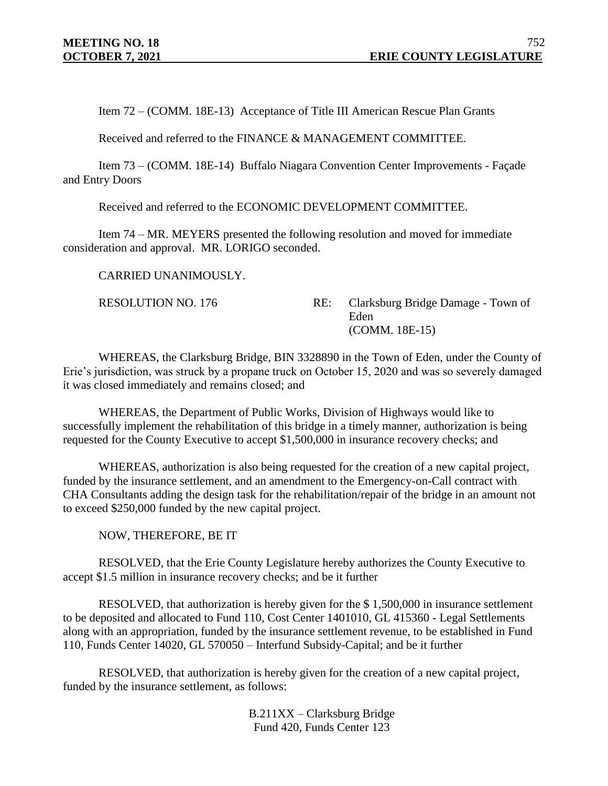Item 72 – (COMM. 18E-13) Acceptance of Title III American Rescue Plan Grants

Received and referred to the FINANCE & MANAGEMENT COMMITTEE.

Item 73 – (COMM. 18E-14) Buffalo Niagara Convention Center Improvements - Façade and Entry Doors

Received and referred to the ECONOMIC DEVELOPMENT COMMITTEE.

Item 74 – MR. MEYERS presented the following resolution and moved for immediate consideration and approval. MR. LORIGO seconded.

CARRIED UNANIMOUSLY.

RESOLUTION NO. 176 RE: Clarksburg Bridge Damage - Town of Eden (COMM. 18E-15)

WHEREAS, the Clarksburg Bridge, BIN 3328890 in the Town of Eden, under the County of Erie's jurisdiction, was struck by a propane truck on October 15, 2020 and was so severely damaged it was closed immediately and remains closed; and

WHEREAS, the Department of Public Works, Division of Highways would like to successfully implement the rehabilitation of this bridge in a timely manner, authorization is being requested for the County Executive to accept \$1,500,000 in insurance recovery checks; and

WHEREAS, authorization is also being requested for the creation of a new capital project, funded by the insurance settlement, and an amendment to the Emergency-on-Call contract with CHA Consultants adding the design task for the rehabilitation/repair of the bridge in an amount not to exceed \$250,000 funded by the new capital project.

NOW, THEREFORE, BE IT

RESOLVED, that the Erie County Legislature hereby authorizes the County Executive to accept \$1.5 million in insurance recovery checks; and be it further

RESOLVED, that authorization is hereby given for the \$ 1,500,000 in insurance settlement to be deposited and allocated to Fund 110, Cost Center 1401010, GL 415360 - Legal Settlements along with an appropriation, funded by the insurance settlement revenue, to be established in Fund 110, Funds Center 14020, GL 570050 – Interfund Subsidy-Capital; and be it further

RESOLVED, that authorization is hereby given for the creation of a new capital project, funded by the insurance settlement, as follows:

> B.211XX – Clarksburg Bridge Fund 420, Funds Center 123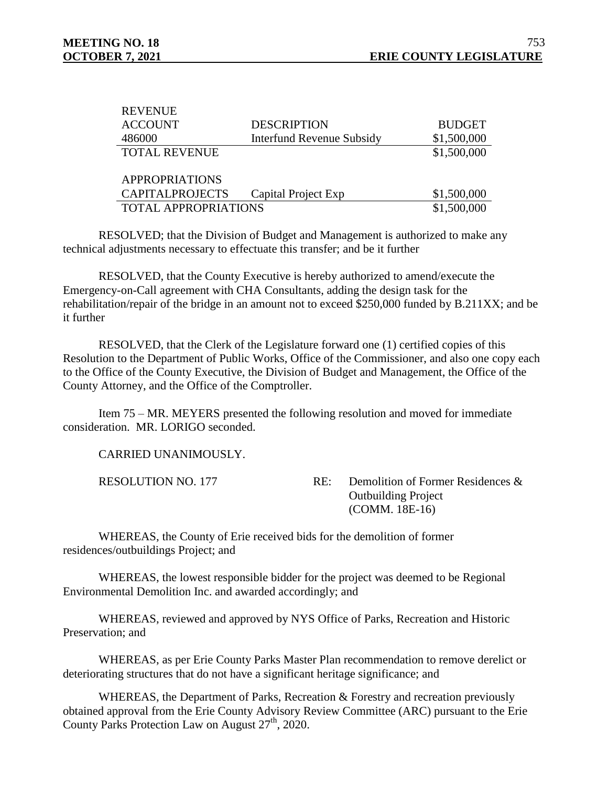**DEVENUE** 

| IVE VERVE                   |                                  |               |
|-----------------------------|----------------------------------|---------------|
| <b>ACCOUNT</b>              | <b>DESCRIPTION</b>               | <b>BUDGET</b> |
| 486000                      | <b>Interfund Revenue Subsidy</b> | \$1,500,000   |
| <b>TOTAL REVENUE</b>        |                                  | \$1,500,000   |
|                             |                                  |               |
| <b>APPROPRIATIONS</b>       |                                  |               |
| <b>CAPITALPROJECTS</b>      | Capital Project Exp              | \$1,500,000   |
| <b>TOTAL APPROPRIATIONS</b> |                                  | \$1,500,000   |

RESOLVED; that the Division of Budget and Management is authorized to make any technical adjustments necessary to effectuate this transfer; and be it further

RESOLVED, that the County Executive is hereby authorized to amend/execute the Emergency-on-Call agreement with CHA Consultants, adding the design task for the rehabilitation/repair of the bridge in an amount not to exceed \$250,000 funded by B.211XX; and be it further

RESOLVED, that the Clerk of the Legislature forward one (1) certified copies of this Resolution to the Department of Public Works, Office of the Commissioner, and also one copy each to the Office of the County Executive, the Division of Budget and Management, the Office of the County Attorney, and the Office of the Comptroller.

Item 75 – MR. MEYERS presented the following resolution and moved for immediate consideration. MR. LORIGO seconded.

CARRIED UNANIMOUSLY.

RESOLUTION NO. 177 RE: Demolition of Former Residences & Outbuilding Project (COMM. 18E-16)

WHEREAS, the County of Erie received bids for the demolition of former residences/outbuildings Project; and

WHEREAS, the lowest responsible bidder for the project was deemed to be Regional Environmental Demolition Inc. and awarded accordingly; and

WHEREAS, reviewed and approved by NYS Office of Parks, Recreation and Historic Preservation; and

WHEREAS, as per Erie County Parks Master Plan recommendation to remove derelict or deteriorating structures that do not have a significant heritage significance; and

WHEREAS, the Department of Parks, Recreation & Forestry and recreation previously obtained approval from the Erie County Advisory Review Committee (ARC) pursuant to the Erie County Parks Protection Law on August  $27<sup>th</sup>$ , 2020.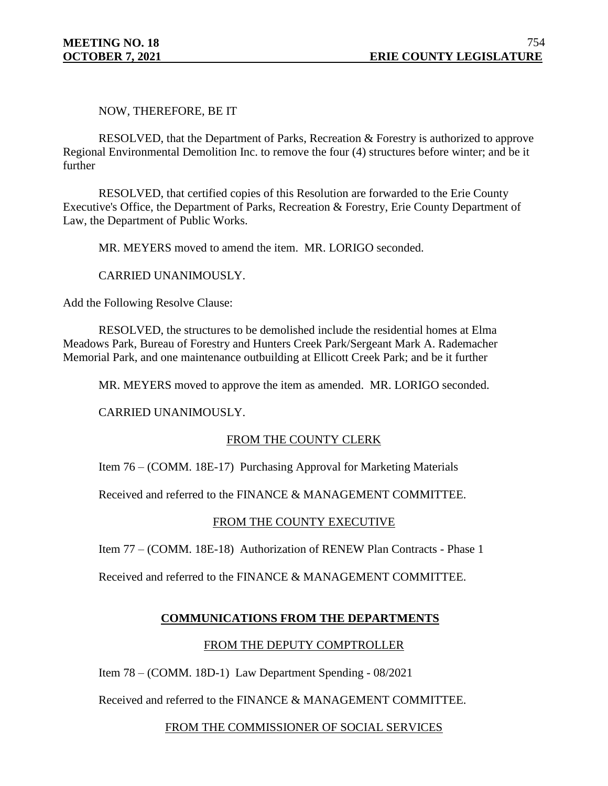NOW, THEREFORE, BE IT

RESOLVED, that the Department of Parks, Recreation & Forestry is authorized to approve Regional Environmental Demolition Inc. to remove the four (4) structures before winter; and be it further

RESOLVED, that certified copies of this Resolution are forwarded to the Erie County Executive's Office, the Department of Parks, Recreation & Forestry, Erie County Department of Law, the Department of Public Works.

MR. MEYERS moved to amend the item. MR. LORIGO seconded.

CARRIED UNANIMOUSLY.

Add the Following Resolve Clause:

RESOLVED, the structures to be demolished include the residential homes at Elma Meadows Park, Bureau of Forestry and Hunters Creek Park/Sergeant Mark A. Rademacher Memorial Park, and one maintenance outbuilding at Ellicott Creek Park; and be it further

MR. MEYERS moved to approve the item as amended. MR. LORIGO seconded.

CARRIED UNANIMOUSLY.

## FROM THE COUNTY CLERK

Item 76 – (COMM. 18E-17) Purchasing Approval for Marketing Materials

Received and referred to the FINANCE & MANAGEMENT COMMITTEE.

## FROM THE COUNTY EXECUTIVE

Item 77 – (COMM. 18E-18) Authorization of RENEW Plan Contracts - Phase 1

Received and referred to the FINANCE & MANAGEMENT COMMITTEE.

## **COMMUNICATIONS FROM THE DEPARTMENTS**

## FROM THE DEPUTY COMPTROLLER

Item 78 – (COMM. 18D-1) Law Department Spending - 08/2021

Received and referred to the FINANCE & MANAGEMENT COMMITTEE.

#### FROM THE COMMISSIONER OF SOCIAL SERVICES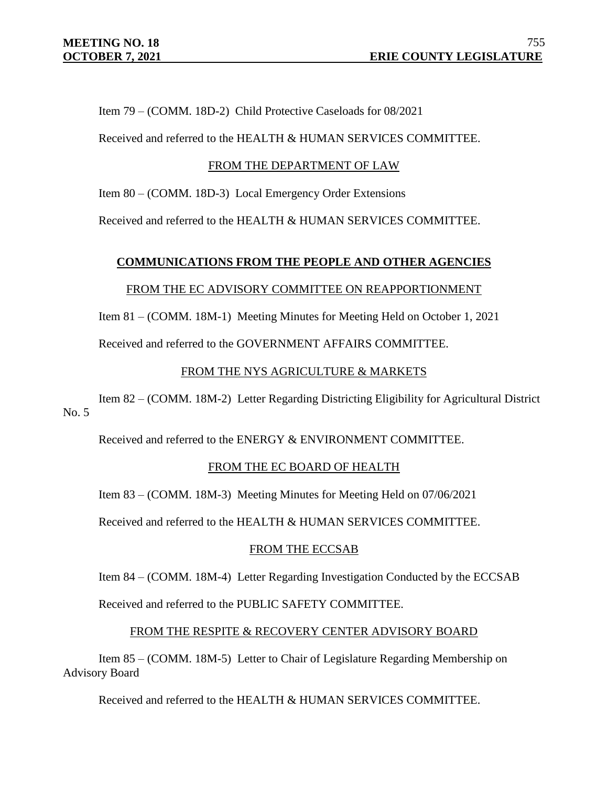Item 79 – (COMM. 18D-2) Child Protective Caseloads for 08/2021

Received and referred to the HEALTH & HUMAN SERVICES COMMITTEE.

#### FROM THE DEPARTMENT OF LAW

Item 80 – (COMM. 18D-3) Local Emergency Order Extensions

Received and referred to the HEALTH & HUMAN SERVICES COMMITTEE.

# **COMMUNICATIONS FROM THE PEOPLE AND OTHER AGENCIES**

#### FROM THE EC ADVISORY COMMITTEE ON REAPPORTIONMENT

Item 81 – (COMM. 18M-1) Meeting Minutes for Meeting Held on October 1, 2021

Received and referred to the GOVERNMENT AFFAIRS COMMITTEE.

## FROM THE NYS AGRICULTURE & MARKETS

Item 82 – (COMM. 18M-2) Letter Regarding Districting Eligibility for Agricultural District  $No. 5$ 

Received and referred to the ENERGY & ENVIRONMENT COMMITTEE.

## FROM THE EC BOARD OF HEALTH

Item 83 – (COMM. 18M-3) Meeting Minutes for Meeting Held on 07/06/2021

Received and referred to the HEALTH & HUMAN SERVICES COMMITTEE.

## FROM THE ECCSAB

Item 84 – (COMM. 18M-4) Letter Regarding Investigation Conducted by the ECCSAB

Received and referred to the PUBLIC SAFETY COMMITTEE.

#### FROM THE RESPITE & RECOVERY CENTER ADVISORY BOARD

Item 85 – (COMM. 18M-5) Letter to Chair of Legislature Regarding Membership on Advisory Board

Received and referred to the HEALTH & HUMAN SERVICES COMMITTEE.